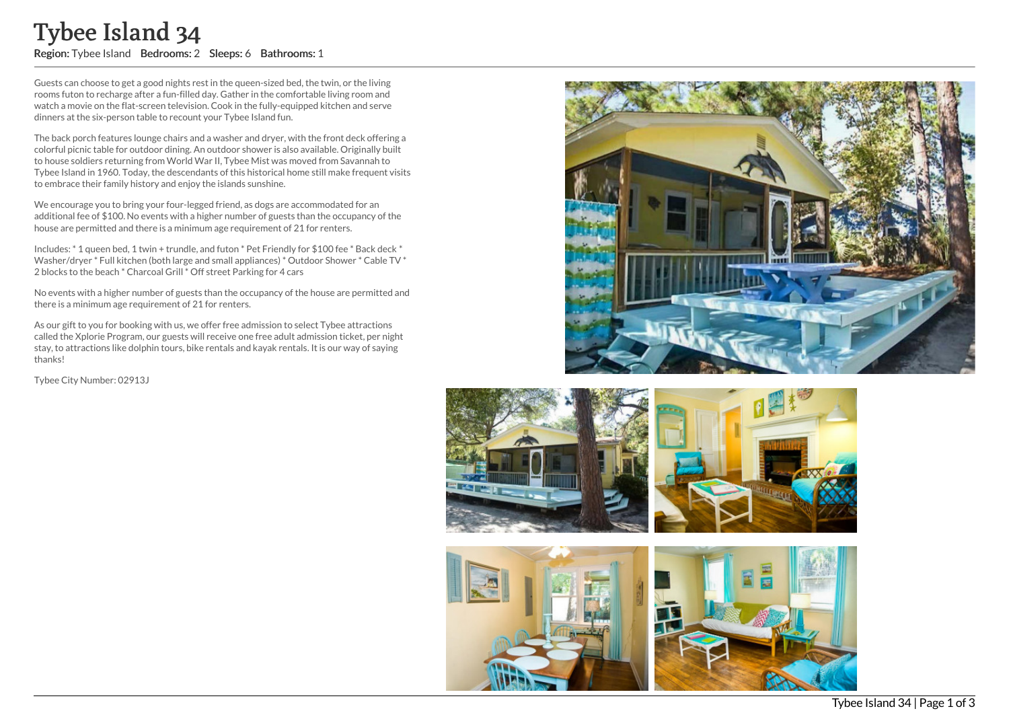## Tybee Island 34

Region: Tybee Island Bedrooms: 2 Sleeps: 6 Bathrooms: 1

Guests can choose to get a good nights rest in the queen-sized bed, the twin, or the living rooms futon to recharge after a fun-filled day. Gather in the comfortable living room and watch a movie on the flat-screen television. Cook in the fully-equipped kitchen and serve dinners at the six-person table to recount your Tybee Island fun.

The back porch features lounge chairs and a washer and dryer, with the front deck offering a colorful picnic table for outdoor dining. An outdoor shower is also available. Originally built to house soldiers returning from World War II, Tybee Mist was moved from Savannah to Tybee Island in 1960. Today, the descendants of this historical home still make frequent visits to embrace their family history and enjoy the islands sunshine.

We encourage you to bring your four-legged friend, as dogs are accommodated for an additional fee of \$100. No events with a higher number of guests than the occupancy of the house are permitted and there is a minimum age requirement of 21 for renters.

Includes:\* 1 queen bed, 1 twin + trundle, and futon \* Pet Friendly for \$100 fee \* Back deck \* Washer/dryer \* Full kitchen (both large and small appliances)\* Outdoor Shower \* Cable TV \* 2 blocks to the beach \* Charcoal Grill \* Off street Parking for 4 cars

No events with a higher number of guests than the occupancy of the house are permitted and there is a minimum age requirement of 21 for renters.

As our gift to you for booking with us, we offer free admission to select Tybee attractions called the Xplorie Program, our guests will receive one free adult admission ticket, per night stay, to attractions like dolphin tours, bike rentals and kayak rentals. It is our way of saying thanks!

Tybee City Number: 02913J



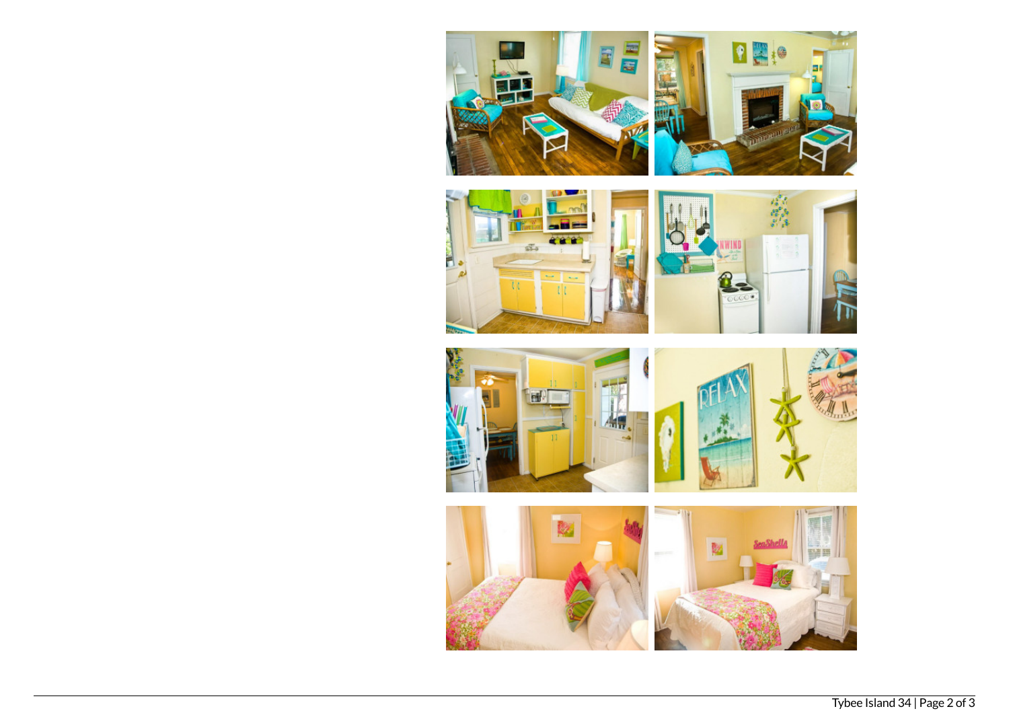